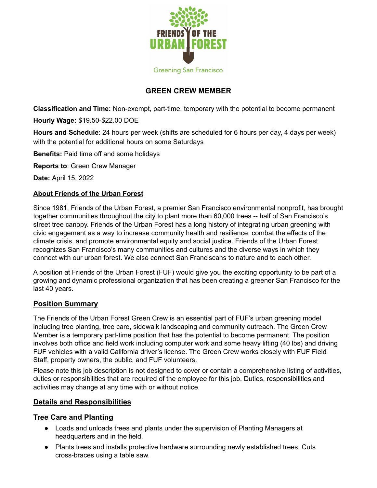

# **GREEN CREW MEMBER**

**Classification and Time:** Non-exempt, part-time, temporary with the potential to become permanent

**Hourly Wage:** \$19.50-\$22.00 DOE

**Hours and Schedule**: 24 hours per week (shifts are scheduled for 6 hours per day, 4 days per week) with the potential for additional hours on some Saturdays

**Benefits:** Paid time off and some holidays

**Reports to**: Green Crew Manager

**Date:** April 15, 2022

#### **About Friends of the Urban Forest**

Since 1981, Friends of the Urban Forest, a premier San Francisco environmental nonprofit, has brought together communities throughout the city to plant more than 60,000 trees -- half of San Francisco's street tree canopy. Friends of the Urban Forest has a long history of integrating urban greening with civic engagement as a way to increase community health and resilience, combat the effects of the climate crisis, and promote environmental equity and social justice. Friends of the Urban Forest recognizes San Francisco's many communities and cultures and the diverse ways in which they connect with our urban forest. We also connect San Franciscans to nature and to each other.

A position at Friends of the Urban Forest (FUF) would give you the exciting opportunity to be part of a growing and dynamic professional organization that has been creating a greener San Francisco for the last 40 years.

### **Position Summary**

The Friends of the Urban Forest Green Crew is an essential part of FUF's urban greening model including tree planting, tree care, sidewalk landscaping and community outreach. The Green Crew Member is a temporary part-time position that has the potential to become permanent. The position involves both office and field work including computer work and some heavy lifting (40 lbs) and driving FUF vehicles with a valid California driver's license. The Green Crew works closely with FUF Field Staff, property owners, the public, and FUF volunteers.

Please note this job description is not designed to cover or contain a comprehensive listing of activities, duties or responsibilities that are required of the employee for this job. Duties, responsibilities and activities may change at any time with or without notice.

### **Details and Responsibilities**

### **Tree Care and Planting**

- Loads and unloads trees and plants under the supervision of Planting Managers at headquarters and in the field.
- Plants trees and installs protective hardware surrounding newly established trees. Cuts cross-braces using a table saw.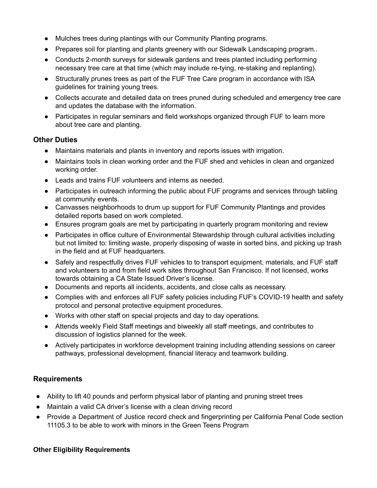- Mulches trees during plantings with our Community Planting programs.
- Prepares soil for planting and plants greenery with our Sidewalk Landscaping program..
- Conducts 2-month surveys for sidewalk gardens and trees planted including performing necessary tree care at that time (which may include re-tying, re-staking and replanting).
- Structurally prunes trees as part of the FUF Tree Care program in accordance with ISA guidelines for training young trees.
- Collects accurate and detailed data on trees pruned during scheduled and emergency tree care and updates the database with the information.
- Participates in regular seminars and field workshops organized through FUF to learn more about tree care and planting.

### **Other Duties**

- Maintains materials and plants in inventory and reports issues with irrigation.
- Maintains tools in clean working order and the FUF shed and vehicles in clean and organized working order.
- Leads and trains FUF volunteers and interns as needed.
- Participates in outreach informing the public about FUF programs and services through tabling at community events.
- Canvasses neighborhoods to drum up support for FUF Community Plantings and provides detailed reports based on work completed.
- Ensures program goals are met by participating in quarterly program monitoring and review
- Participates in office culture of Environmental Stewardship through cultural activities including but not limited to: limiting waste, properly disposing of waste in sorted bins, and picking up trash in the field and at FUF headquarters.
- Safely and respectfully drives FUF vehicles to to transport equipment, materials, and FUF staff and volunteers to and from field work sites throughout San Francisco. If not licensed, works towards obtaining a CA State Issued Driver's license.
- Documents and reports all incidents, accidents, and close calls as necessary.
- Complies with and enforces all FUF safety policies including FUF's COVID-19 health and safety protocol and personal protective equipment procedures.
- Works with other staff on special projects and day to day operations.
- Attends weekly Field Staff meetings and biweekly all staff meetings, and contributes to discussion of logistics planned for the week.
- Actively participates in workforce development training including attending sessions on career pathways, professional development, financial literacy and teamwork building.

### **Requirements**

- Ability to lift 40 pounds and perform physical labor of planting and pruning street trees
- Maintain a valid CA driver's license with a clean driving record
- Provide a Department of Justice record check and fingerprinting per California Penal Code section 11105.3 to be able to work with minors in the Green Teens Program

#### **Other Eligibility Requirements**